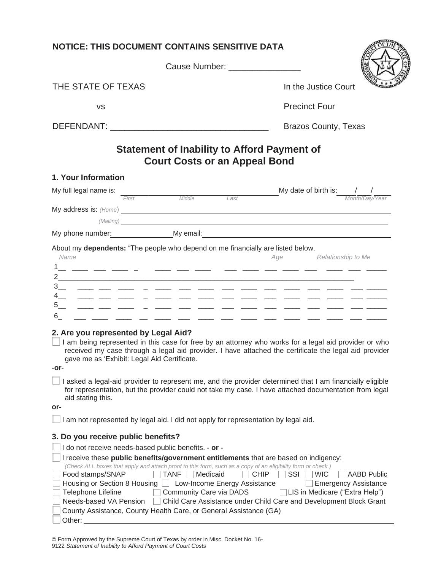| <b>NOTICE: THIS DOCUMENT CONTAINS SENSITIVE DATA</b>                                                                                                                                                                                                                                                                                                                                                                                                                         |                                                                                                                                                                                               |
|------------------------------------------------------------------------------------------------------------------------------------------------------------------------------------------------------------------------------------------------------------------------------------------------------------------------------------------------------------------------------------------------------------------------------------------------------------------------------|-----------------------------------------------------------------------------------------------------------------------------------------------------------------------------------------------|
| Cause Number: ________________                                                                                                                                                                                                                                                                                                                                                                                                                                               |                                                                                                                                                                                               |
| THE STATE OF TEXAS                                                                                                                                                                                                                                                                                                                                                                                                                                                           | In the Justice Court                                                                                                                                                                          |
| <b>VS</b>                                                                                                                                                                                                                                                                                                                                                                                                                                                                    | <b>Precinct Four</b>                                                                                                                                                                          |
|                                                                                                                                                                                                                                                                                                                                                                                                                                                                              | <b>Brazos County, Texas</b>                                                                                                                                                                   |
| <b>Statement of Inability to Afford Payment of</b><br><b>Court Costs or an Appeal Bond</b>                                                                                                                                                                                                                                                                                                                                                                                   |                                                                                                                                                                                               |
| 1. Your Information                                                                                                                                                                                                                                                                                                                                                                                                                                                          |                                                                                                                                                                                               |
| My full legal name is:<br>First Middle Last                                                                                                                                                                                                                                                                                                                                                                                                                                  | My date of birth is: $\frac{1}{\frac{M \text{ on } t \land \text{DoR}}{N \text{ on } t \land \text{DoR}}$                                                                                     |
| My address is: (Home) <b>Subset of the Contract of the Contract of the Contract of the Contract of the Contract of the Contract of the Contract of the Contract of the Contract of the Contract of the Contract of the Contract </b>                                                                                                                                                                                                                                         |                                                                                                                                                                                               |
| (Mailing) <u>and the community of the community of the community of the community of the community of the community of the community of the community of the community of the community of the community of the community of the</u>                                                                                                                                                                                                                                         |                                                                                                                                                                                               |
|                                                                                                                                                                                                                                                                                                                                                                                                                                                                              |                                                                                                                                                                                               |
| About my dependents: "The people who depend on me financially are listed below.<br>Name<br>6<br><u> 2002 - An Aon An Aon an Aon an Aon an Aon an Aon an Aon</u>                                                                                                                                                                                                                                                                                                              | Age Relationship to Me                                                                                                                                                                        |
| 2. Are you represented by Legal Aid?<br>I am being represented in this case for free by an attorney who works for a legal aid provider or who<br>received my case through a legal aid provider. I have attached the certificate the legal aid provider<br>gave me as 'Exhibit: Legal Aid Certificate.<br>-or-                                                                                                                                                                |                                                                                                                                                                                               |
| I asked a legal-aid provider to represent me, and the provider determined that I am financially eligible<br>for representation, but the provider could not take my case. I have attached documentation from legal<br>aid stating this.<br>or-                                                                                                                                                                                                                                |                                                                                                                                                                                               |
| I am not represented by legal aid. I did not apply for representation by legal aid.                                                                                                                                                                                                                                                                                                                                                                                          |                                                                                                                                                                                               |
| 3. Do you receive public benefits?                                                                                                                                                                                                                                                                                                                                                                                                                                           |                                                                                                                                                                                               |
| I do not receive needs-based public benefits. - or -                                                                                                                                                                                                                                                                                                                                                                                                                         |                                                                                                                                                                                               |
| I receive these public benefits/government entitlements that are based on indigency:<br>(Check ALL boxes that apply and attach proof to this form, such as a copy of an eligibility form or check.)<br><b>TANF</b><br>Food stamps/SNAP<br>Medicaid<br>Housing or Section 8 Housing<br>Low-Income Energy Assistance<br>Telephone Lifeline<br>Community Care via DADS<br>Needs-based VA Pension<br>County Assistance, County Health Care, or General Assistance (GA)<br>Other: | <b>CHIP</b><br>SSI<br><b>WIC</b><br><b>AABD Public</b><br><b>Emergency Assistance</b><br>LIS in Medicare ("Extra Help")<br>Child Care Assistance under Child Care and Development Block Grant |